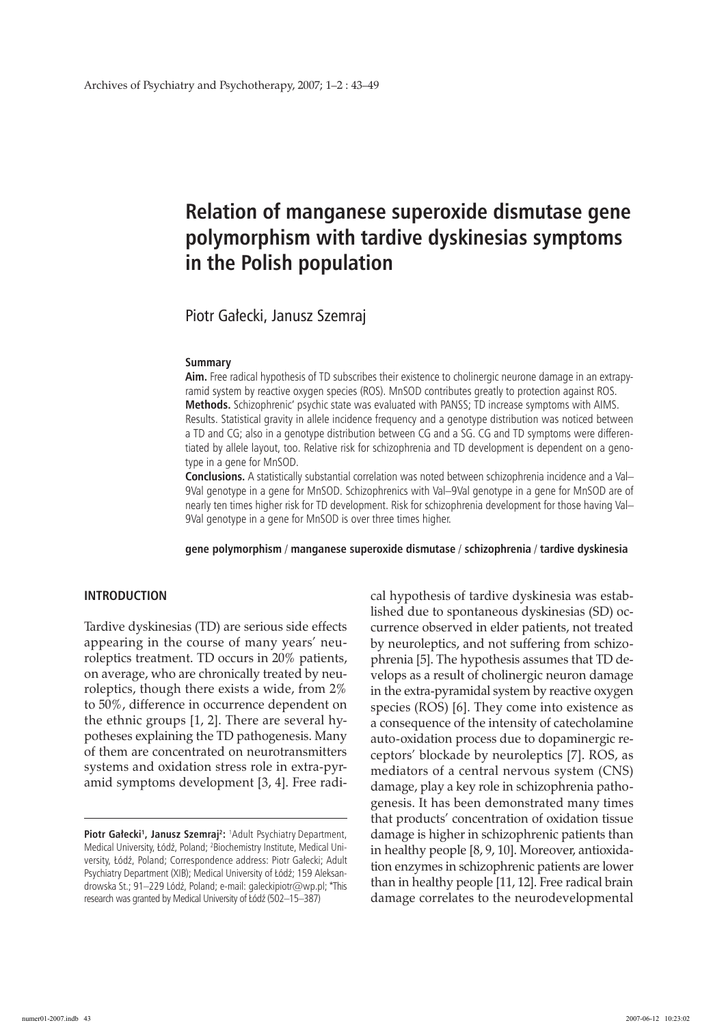## **Relation of manganese superoxide dismutase gene polymorphism with tardive dyskinesias symptoms in the Polish population**

Piotr Gałecki, Janusz Szemraj

#### **Summary**

**Aim.** Free radical hypothesis of TD subscribes their existence to cholinergic neurone damage in an extrapyramid system by reactive oxygen species (ROS). MnSOD contributes greatly to protection against ROS. **Methods.** Schizophrenic' psychic state was evaluated with PANSS; TD increase symptoms with AIMS. Results. Statistical gravity in allele incidence frequency and a genotype distribution was noticed between a TD and CG; also in a genotype distribution between CG and a SG. CG and TD symptoms were differentiated by allele layout, too. Relative risk for schizophrenia and TD development is dependent on a genotype in a gene for MnSOD.

**Conclusions.** A statistically substantial correlation was noted between schizophrenia incidence and a Val– 9Val genotype in a gene for MnSOD. Schizophrenics with Val–9Val genotype in a gene for MnSOD are of nearly ten times higher risk for TD development. Risk for schizophrenia development for those having Val– 9Val genotype in a gene for MnSOD is over three times higher.

**gene polymorphism** / **manganese superoxide dismutase** / **schizophrenia** / **tardive dyskinesia**

## **Introduction**

Tardive dyskinesias (TD) are serious side effects appearing in the course of many years' neuroleptics treatment. TD occurs in 20% patients, on average, who are chronically treated by neuroleptics, though there exists a wide, from 2% to 50%, difference in occurrence dependent on the ethnic groups [1, 2]. There are several hypotheses explaining the TD pathogenesis. Many of them are concentrated on neurotransmitters systems and oxidation stress role in extra-pyramid symptoms development [3, 4]. Free radical hypothesis of tardive dyskinesia was established due to spontaneous dyskinesias (SD) occurrence observed in elder patients, not treated by neuroleptics, and not suffering from schizophrenia [5]. The hypothesis assumes that TD develops as a result of cholinergic neuron damage in the extra-pyramidal system by reactive oxygen species (ROS) [6]. They come into existence as a consequence of the intensity of catecholamine auto-oxidation process due to dopaminergic receptors' blockade by neuroleptics [7]. ROS, as mediators of a central nervous system (CNS) damage, play a key role in schizophrenia pathogenesis. It has been demonstrated many times that products' concentration of oxidation tissue damage is higher in schizophrenic patients than in healthy people [8, 9, 10]. Moreover, antioxidation enzymes in schizophrenic patients are lower than in healthy people [11, 12]. Free radical brain damage correlates to the neurodevelopmental

Piotr Gałecki<sup>1</sup>, Janusz Szemraj<sup>2</sup>: <sup>1</sup>Adult Psychiatry Department, Medical University, Łódź, Poland; <sup>2</sup> Biochemistry Institute, Medical University, Łódź, Poland; Correspondence address: Piotr Gałecki; Adult Psychiatry Department (XIB); Medical University of Łódź; 159 Aleksandrowska St.; 91–229 Lódź, Poland; e-mail: galeckipiotr@wp.pl; \*This research was granted by Medical University of Łódź (502–15–387)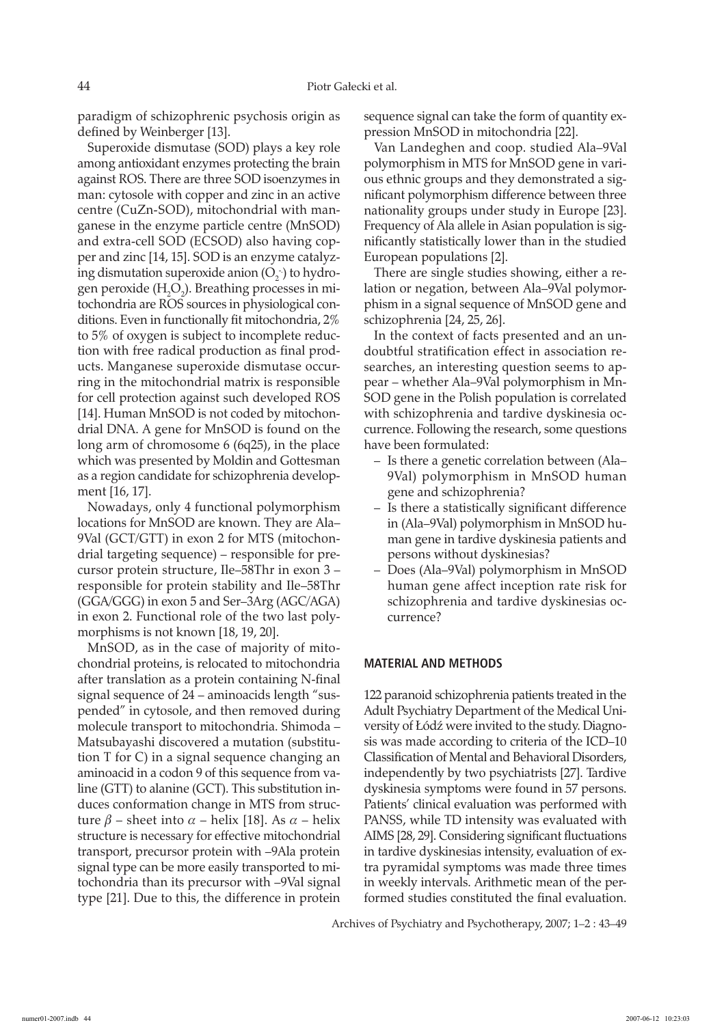paradigm of schizophrenic psychosis origin as defined by Weinberger [13].

Superoxide dismutase (SOD) plays a key role among antioxidant enzymes protecting the brain against ROS. There are three SOD isoenzymes in man: cytosole with copper and zinc in an active centre (CuZn-SOD), mitochondrial with manganese in the enzyme particle centre (MnSOD) and extra-cell SOD (ECSOD) also having copper and zinc [14, 15]. SOD is an enzyme catalyzing dismutation superoxide anion  $(O_2^-)$  to hydrogen peroxide ( $H_2O_2$ ). Breathing processes in mitochondria are ROS sources in physiological conditions. Even in functionally fit mitochondria, 2% to 5% of oxygen is subject to incomplete reduction with free radical production as final products. Manganese superoxide dismutase occurring in the mitochondrial matrix is responsible for cell protection against such developed ROS [14]. Human MnSOD is not coded by mitochondrial DNA. A gene for MnSOD is found on the long arm of chromosome 6 (6q25), in the place which was presented by Moldin and Gottesman as a region candidate for schizophrenia development [16, 17].

Nowadays, only 4 functional polymorphism locations for MnSOD are known. They are Ala– 9Val (GCT/GTT) in exon 2 for MTS (mitochondrial targeting sequence) – responsible for precursor protein structure, Ile–58Thr in exon 3 – responsible for protein stability and Ile–58Thr (GGA/GGG) in exon 5 and Ser–3Arg (AGC/AGA) in exon 2. Functional role of the two last polymorphisms is not known [18, 19, 20].

MnSOD, as in the case of majority of mitochondrial proteins, is relocated to mitochondria after translation as a protein containing N-final signal sequence of 24 – aminoacids length "suspended" in cytosole, and then removed during molecule transport to mitochondria. Shimoda – Matsubayashi discovered a mutation (substitution T for C) in a signal sequence changing an aminoacid in a codon 9 of this sequence from valine (GTT) to alanine (GCT). This substitution induces conformation change in MTS from structure  $\beta$  – sheet into  $\alpha$  – helix [18]. As  $\alpha$  – helix structure is necessary for effective mitochondrial transport, precursor protein with –9Ala protein signal type can be more easily transported to mitochondria than its precursor with –9Val signal type [21]. Due to this, the difference in protein

sequence signal can take the form of quantity expression MnSOD in mitochondria [22].

Van Landeghen and coop. studied Ala–9Val polymorphism in MTS for MnSOD gene in various ethnic groups and they demonstrated a significant polymorphism difference between three nationality groups under study in Europe [23]. Frequency of Ala allele in Asian population is significantly statistically lower than in the studied European populations [2].

There are single studies showing, either a relation or negation, between Ala–9Val polymorphism in a signal sequence of MnSOD gene and schizophrenia [24, 25, 26].

In the context of facts presented and an undoubtful stratification effect in association researches, an interesting question seems to appear – whether Ala–9Val polymorphism in Mn-SOD gene in the Polish population is correlated with schizophrenia and tardive dyskinesia occurrence. Following the research, some questions have been formulated:

- Is there a genetic correlation between (Ala– 9Val) polymorphism in MnSOD human gene and schizophrenia?
- Is there a statistically significant difference in (Ala–9Val) polymorphism in MnSOD human gene in tardive dyskinesia patients and persons without dyskinesias?
- Does (Ala–9Val) polymorphism in MnSOD human gene affect inception rate risk for schizophrenia and tardive dyskinesias occurrence?

#### **Material and methods**

122 paranoid schizophrenia patients treated in the Adult Psychiatry Department of the Medical University of Łódź were invited to the study. Diagnosis was made according to criteria of the ICD–10 Classification of Mental and Behavioral Disorders, independently by two psychiatrists [27]. Tardive dyskinesia symptoms were found in 57 persons. Patients' clinical evaluation was performed with PANSS, while TD intensity was evaluated with AIMS [28, 29]. Considering significant fluctuations in tardive dyskinesias intensity, evaluation of extra pyramidal symptoms was made three times in weekly intervals. Arithmetic mean of the performed studies constituted the final evaluation.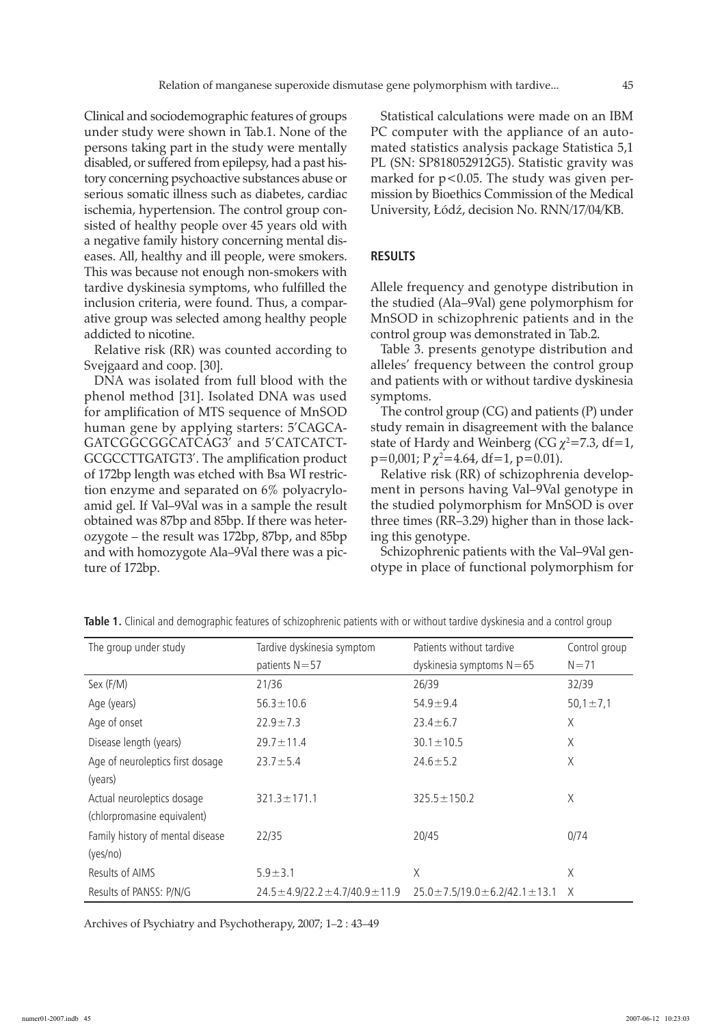Clinical and sociodemographic features of groups under study were shown in Tab.1. None of the persons taking part in the study were mentally disabled, or suffered from epilepsy, had a past history concerning psychoactive substances abuse or serious somatic illness such as diabetes, cardiac ischemia, hypertension. The control group consisted of healthy people over 45 years old with a negative family history concerning mental diseases. All, healthy and ill people, were smokers. This was because not enough non-smokers with tardive dyskinesia symptoms, who fulfilled the inclusion criteria, were found. Thus, a comparative group was selected among healthy people addicted to nicotine.

Relative risk (RR) was counted according to Svejgaard and coop. [30].

DNA was isolated from full blood with the phenol method [31]. Isolated DNA was used for amplification of MTS sequence of MnSOD human gene by applying starters: 5'CAGCA-GATCGGCGGCATCAG3' and 5'CATCATCT-GCGCCTTGATGT3'. The amplification product of 172bp length was etched with Bsa WI restriction enzyme and separated on 6% polyacryloamid gel. If Val–9Val was in a sample the result obtained was 87bp and 85bp. If there was heterozygote – the result was 172bp, 87bp, and 85bp and with homozygote Ala–9Val there was a picture of 172bp.

Statistical calculations were made on an IBM PC computer with the appliance of an automated statistics analysis package Statistica 5,1 PL (SN: SP818052912G5). Statistic gravity was marked for  $p<0.05$ . The study was given permission by Bioethics Commission of the Medical University, Łódź, decision No. RNN/17/04/KB.

## **Results**

Allele frequency and genotype distribution in the studied (Ala–9Val) gene polymorphism for MnSOD in schizophrenic patients and in the control group was demonstrated in Tab.2.

Table 3. presents genotype distribution and alleles' frequency between the control group and patients with or without tardive dyskinesia symptoms.

The control group (CG) and patients (P) under study remain in disagreement with the balance state of Hardy and Weinberg (CG  $\chi^2$ =7.3, df=1,  $p=0,001; P\chi^2=4.64, df=1, p=0.01).$ 

Relative risk (RR) of schizophrenia development in persons having Val–9Val genotype in the studied polymorphism for MnSOD is over three times (RR–3.29) higher than in those lacking this genotype.

Schizophrenic patients with the Val–9Val genotype in place of functional polymorphism for

| The group under study            | Tardive dyskinesia symptom                | Patients without tardive                  | Control group  |
|----------------------------------|-------------------------------------------|-------------------------------------------|----------------|
|                                  | patients $N = 57$                         | dyskinesia symptoms $N = 65$              | $N = 71$       |
| Sex (F/M)                        | 21/36                                     | 26/39                                     | 32/39          |
| Age (years)                      | $56.3 \pm 10.6$                           | $54.9 \pm 9.4$                            | $50,1 \pm 7,1$ |
| Age of onset                     | $22.9 \pm 7.3$                            | $23.4 \pm 6.7$                            | Χ              |
| Disease length (years)           | $29.7 \pm 11.4$                           | $30.1 \pm 10.5$                           | X              |
| Age of neuroleptics first dosage | $23.7 \pm 5.4$                            | $24.6 \pm 5.2$                            | Χ              |
| (years)                          |                                           |                                           |                |
| Actual neuroleptics dosage       | $321.3 \pm 171.1$                         | $325.5 \pm 150.2$                         | Χ              |
| (chlorpromasine equivalent)      |                                           |                                           |                |
| Family history of mental disease | 22/35                                     | 20/45                                     | 0/74           |
| (yes/no)                         |                                           |                                           |                |
| Results of AIMS                  | $5.9 \pm 3.1$                             | Χ                                         | X              |
| Results of PANSS: P/N/G          | $24.5 \pm 4.9/22.2 \pm 4.7/40.9 \pm 11.9$ | $25.0 \pm 7.5/19.0 \pm 6.2/42.1 \pm 13.1$ | X              |

**Table 1.** Clinical and demographic features of schizophrenic patients with or without tardive dyskinesia and a control group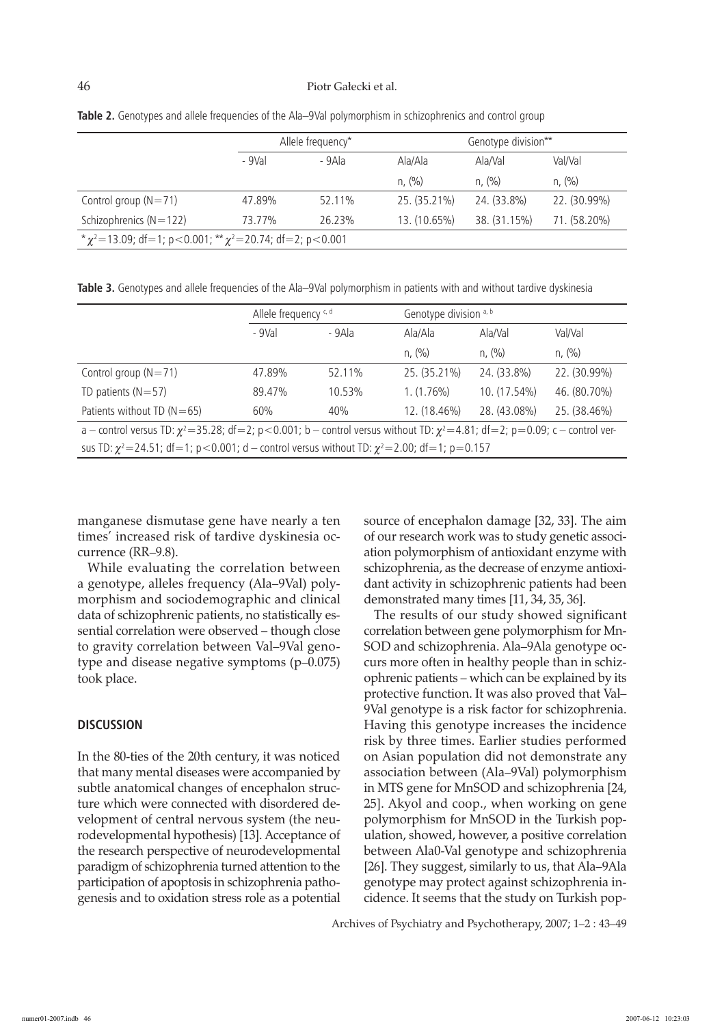|                              |          | Allele frequency* |              | Genotype division** |              |  |
|------------------------------|----------|-------------------|--------------|---------------------|--------------|--|
|                              | $-9$ Val | - 9Ala            | Ala/Ala      | Ala/Val             | Val/Val      |  |
|                              |          |                   | n, (%)       | n, (%)              | n, (%)       |  |
| Control group $(N=71)$       | 47.89%   | 52.11%            | 25. (35.21%) | 24. (33.8%)         | 22. (30.99%) |  |
| Schizophrenics ( $N = 122$ ) | 73.77%   | 26.23%            | 13. (10.65%) | 38. (31.15%)        | 71. (58.20%) |  |

**Table 2.** Genotypes and allele frequencies of the Ala–9Val polymorphism in schizophrenics and control group

**Table 3.** Genotypes and allele frequencies of the Ala–9Val polymorphism in patients with and without tardive dyskinesia

|                                                                                                                                                | Allele frequency c, d |        | Genotype division a, b |              |              |  |  |  |
|------------------------------------------------------------------------------------------------------------------------------------------------|-----------------------|--------|------------------------|--------------|--------------|--|--|--|
|                                                                                                                                                | $-9$ Val              | - 9Ala | Ala/Ala                | Ala/Val      | Val/Val      |  |  |  |
|                                                                                                                                                |                       |        | n, (%)                 | n, (%)       | n, (%)       |  |  |  |
| Control group $(N=71)$                                                                                                                         | 47.89%                | 52.11% | 25. (35.21%)           | 24. (33.8%)  | 22. (30.99%) |  |  |  |
| TD patients $(N=57)$                                                                                                                           | 89.47%                | 10.53% | $1. (1.76\%)$          | 10. (17.54%) | 46. (80.70%) |  |  |  |
| Patients without TD ( $N = 65$ )                                                                                                               | 60%                   | 40%    | 12. (18.46%)           | 28. (43.08%) | 25. (38.46%) |  |  |  |
| a – control versus TD: $\chi^2$ = 35.28; df = 2; p < 0.001; b – control versus without TD: $\chi^2$ = 4.81; df = 2; p = 0.09; c – control ver- |                       |        |                        |              |              |  |  |  |
| sus TD: $\chi^2$ = 24.51; df = 1; p < 0.001; d – control versus without TD: $\chi^2$ = 2.00; df = 1; p = 0.157                                 |                       |        |                        |              |              |  |  |  |

manganese dismutase gene have nearly a ten times' increased risk of tardive dyskinesia occurrence (RR–9.8).

While evaluating the correlation between a genotype, alleles frequency (Ala–9Val) polymorphism and sociodemographic and clinical data of schizophrenic patients, no statistically essential correlation were observed – though close to gravity correlation between Val–9Val genotype and disease negative symptoms (p–0.075) took place.

#### **Discussion**

In the 80-ties of the 20th century, it was noticed that many mental diseases were accompanied by subtle anatomical changes of encephalon structure which were connected with disordered development of central nervous system (the neurodevelopmental hypothesis) [13]. Acceptance of the research perspective of neurodevelopmental paradigm of schizophrenia turned attention to the participation of apoptosis in schizophrenia pathogenesis and to oxidation stress role as a potential

source of encephalon damage [32, 33]. The aim of our research work was to study genetic association polymorphism of antioxidant enzyme with schizophrenia, as the decrease of enzyme antioxidant activity in schizophrenic patients had been demonstrated many times [11, 34, 35, 36].

The results of our study showed significant correlation between gene polymorphism for Mn-SOD and schizophrenia. Ala–9Ala genotype occurs more often in healthy people than in schizophrenic patients – which can be explained by its protective function. It was also proved that Val– 9Val genotype is a risk factor for schizophrenia. Having this genotype increases the incidence risk by three times. Earlier studies performed on Asian population did not demonstrate any association between (Ala–9Val) polymorphism in MTS gene for MnSOD and schizophrenia [24, 25]. Akyol and coop., when working on gene polymorphism for MnSOD in the Turkish population, showed, however, a positive correlation between Ala0-Val genotype and schizophrenia [26]. They suggest, similarly to us, that Ala–9Ala genotype may protect against schizophrenia incidence. It seems that the study on Turkish pop-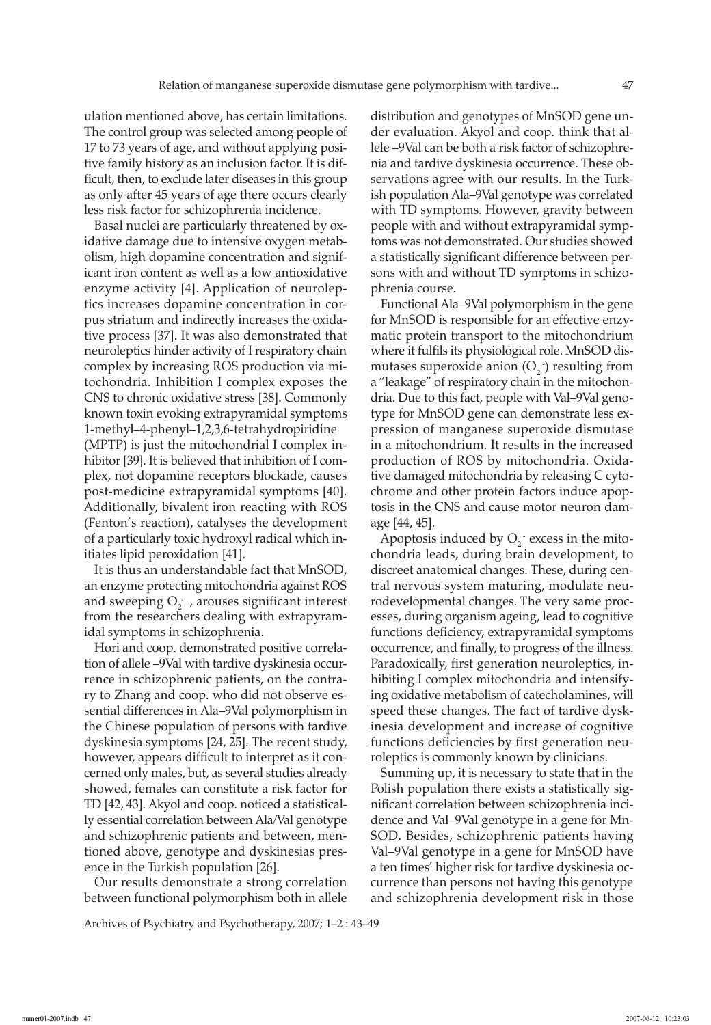ulation mentioned above, has certain limitations. The control group was selected among people of 17 to 73 years of age, and without applying positive family history as an inclusion factor. It is difficult, then, to exclude later diseases in this group as only after 45 years of age there occurs clearly less risk factor for schizophrenia incidence.

Basal nuclei are particularly threatened by oxidative damage due to intensive oxygen metabolism, high dopamine concentration and significant iron content as well as a low antioxidative enzyme activity [4]. Application of neuroleptics increases dopamine concentration in corpus striatum and indirectly increases the oxidative process [37]. It was also demonstrated that neuroleptics hinder activity of I respiratory chain complex by increasing ROS production via mitochondria. Inhibition I complex exposes the CNS to chronic oxidative stress [38]. Commonly known toxin evoking extrapyramidal symptoms 1-methyl–4-phenyl–1,2,3,6-tetrahydropiridine (MPTP) is just the mitochondrial I complex inhibitor [39]. It is believed that inhibition of I complex, not dopamine receptors blockade, causes post-medicine extrapyramidal symptoms [40]. Additionally, bivalent iron reacting with ROS (Fenton's reaction), catalyses the development of a particularly toxic hydroxyl radical which initiates lipid peroxidation [41].

It is thus an understandable fact that MnSOD, an enzyme protecting mitochondria against ROS and sweeping  $O_2^{\bullet}$ , arouses significant interest from the researchers dealing with extrapyramidal symptoms in schizophrenia.

Hori and coop. demonstrated positive correlation of allele –9Val with tardive dyskinesia occurrence in schizophrenic patients, on the contrary to Zhang and coop. who did not observe essential differences in Ala–9Val polymorphism in the Chinese population of persons with tardive dyskinesia symptoms [24, 25]. The recent study, however, appears difficult to interpret as it concerned only males, but, as several studies already showed, females can constitute a risk factor for TD [42, 43]. Akyol and coop. noticed a statistically essential correlation between Ala/Val genotype and schizophrenic patients and between, mentioned above, genotype and dyskinesias presence in the Turkish population [26].

Our results demonstrate a strong correlation between functional polymorphism both in allele distribution and genotypes of MnSOD gene under evaluation. Akyol and coop. think that allele –9Val can be both a risk factor of schizophrenia and tardive dyskinesia occurrence. These observations agree with our results. In the Turkish population Ala–9Val genotype was correlated with TD symptoms. However, gravity between people with and without extrapyramidal symptoms was not demonstrated. Our studies showed a statistically significant difference between persons with and without TD symptoms in schizophrenia course.

Functional Ala–9Val polymorphism in the gene for MnSOD is responsible for an effective enzymatic protein transport to the mitochondrium where it fulfils its physiological role. MnSOD dismutases superoxide anion  $(O_2)$  resulting from a "leakage" of respiratory chain in the mitochondria. Due to this fact, people with Val–9Val genotype for MnSOD gene can demonstrate less expression of manganese superoxide dismutase in a mitochondrium. It results in the increased production of ROS by mitochondria. Oxidative damaged mitochondria by releasing C cytochrome and other protein factors induce apoptosis in the CNS and cause motor neuron damage [44, 45].

Apoptosis induced by  $O_2$  excess in the mitochondria leads, during brain development, to discreet anatomical changes. These, during central nervous system maturing, modulate neurodevelopmental changes. The very same processes, during organism ageing, lead to cognitive functions deficiency, extrapyramidal symptoms occurrence, and finally, to progress of the illness. Paradoxically, first generation neuroleptics, inhibiting I complex mitochondria and intensifying oxidative metabolism of catecholamines, will speed these changes. The fact of tardive dyskinesia development and increase of cognitive functions deficiencies by first generation neuroleptics is commonly known by clinicians.

Summing up, it is necessary to state that in the Polish population there exists a statistically significant correlation between schizophrenia incidence and Val–9Val genotype in a gene for Mn-SOD. Besides, schizophrenic patients having Val–9Val genotype in a gene for MnSOD have a ten times' higher risk for tardive dyskinesia occurrence than persons not having this genotype and schizophrenia development risk in those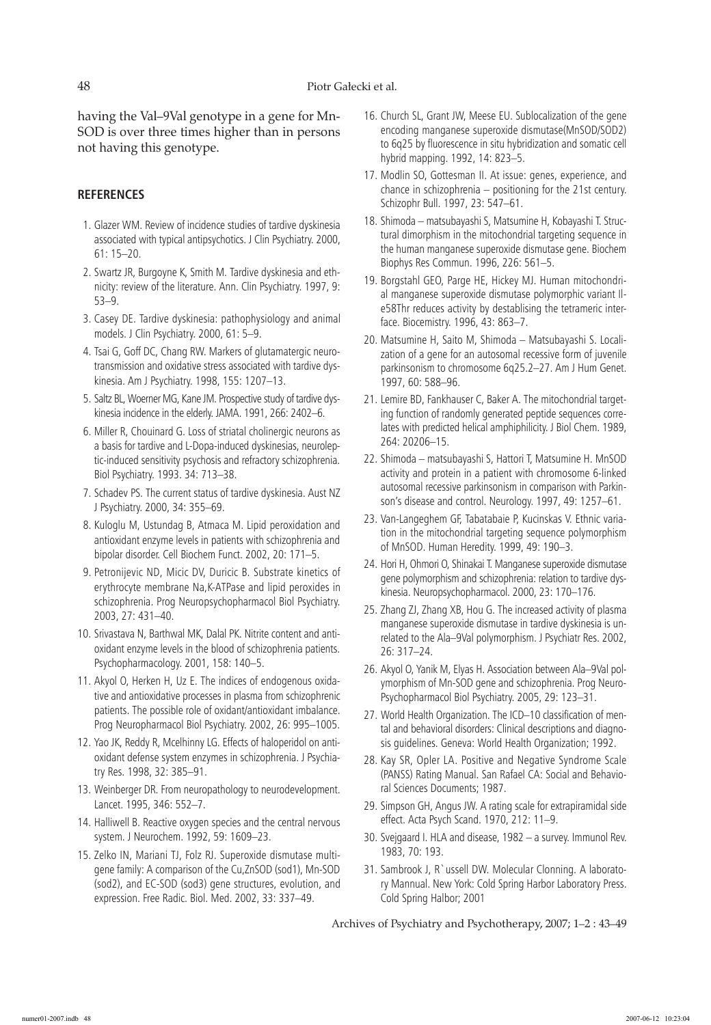having the Val–9Val genotype in a gene for Mn-SOD is over three times higher than in persons not having this genotype.

## **References**

- 1. Glazer WM. Review of incidence studies of tardive dyskinesia associated with typical antipsychotics. J Clin Psychiatry. 2000, 61: 15–20.
- 2. Swartz JR, Burgoyne K, Smith M. Tardive dyskinesia and ethnicity: review of the literature. Ann. Clin Psychiatry. 1997, 9: 53–9.
- 3. Casey DE. Tardive dyskinesia: pathophysiology and animal models. J Clin Psychiatry. 2000, 61: 5–9.
- 4. Tsai G, Goff DC, Chang RW. Markers of glutamatergic neurotransmission and oxidative stress associated with tardive dyskinesia. Am J Psychiatry. 1998, 155: 1207–13.
- 5. Saltz BL, Woerner MG, Kane JM. Prospective study of tardive dyskinesia incidence in the elderly. JAMA. 1991, 266: 2402–6.
- 6. Miller R, Chouinard G. Loss of striatal cholinergic neurons as a basis for tardive and L-Dopa-induced dyskinesias, neuroleptic-induced sensitivity psychosis and refractory schizophrenia. Biol Psychiatry. 1993. 34: 713–38.
- 7. Schadev PS. The current status of tardive dyskinesia. Aust NZ J Psychiatry. 2000, 34: 355–69.
- 8. Kuloglu M, Ustundag B, Atmaca M. Lipid peroxidation and antioxidant enzyme levels in patients with schizophrenia and bipolar disorder. Cell Biochem Funct. 2002, 20: 171–5.
- 9. Petronijevic ND, Micic DV, Duricic B. Substrate kinetics of erythrocyte membrane Na,K-ATPase and lipid peroxides in schizophrenia. Prog Neuropsychopharmacol Biol Psychiatry. 2003, 27: 431–40.
- 10. Srivastava N, Barthwal MK, Dalal PK. Nitrite content and antioxidant enzyme levels in the blood of schizophrenia patients. Psychopharmacology. 2001, 158: 140–5.
- 11. Akyol O, Herken H, Uz E. The indices of endogenous oxidative and antioxidative processes in plasma from schizophrenic patients. The possible role of oxidant/antioxidant imbalance. Prog Neuropharmacol Biol Psychiatry. 2002, 26: 995–1005.
- 12. Yao JK, Reddy R, Mcelhinny LG. Effects of haloperidol on antioxidant defense system enzymes in schizophrenia. J Psychiatry Res. 1998, 32: 385–91.
- 13. Weinberger DR. From neuropathology to neurodevelopment. Lancet. 1995, 346: 552–7.
- 14. Halliwell B. Reactive oxygen species and the central nervous system. J Neurochem. 1992, 59: 1609–23.
- 15. Zelko IN, Mariani TJ, Folz RJ. Superoxide dismutase multigene family: A comparison of the Cu,ZnSOD (sod1), Mn-SOD (sod2), and EC-SOD (sod3) gene structures, evolution, and expression. Free Radic. Biol. Med. 2002, 33: 337–49.
- 16. Church SL, Grant JW, Meese EU. Sublocalization of the gene encoding manganese superoxide dismutase(MnSOD/SOD2) to 6q25 by fluorescence in situ hybridization and somatic cell hybrid mapping. 1992, 14: 823–5.
- 17. Modlin SO, Gottesman II. At issue: genes, experience, and chance in schizophrenia – positioning for the 21st century. Schizophr Bull. 1997, 23: 547–61.
- 18. Shimoda matsubayashi S, Matsumine H, Kobayashi T. Structural dimorphism in the mitochondrial targeting sequence in the human manganese superoxide dismutase gene. Biochem Biophys Res Commun. 1996, 226: 561–5.
- 19. Borgstahl GEO, Parge HE, Hickey MJ. Human mitochondrial manganese superoxide dismutase polymorphic variant Ile58Thr reduces activity by destablising the tetrameric interface. Biocemistry. 1996, 43: 863–7.
- 20. Matsumine H, Saito M, Shimoda Matsubayashi S. Localization of a gene for an autosomal recessive form of juvenile parkinsonism to chromosome 6q25.2–27. Am J Hum Genet. 1997, 60: 588–96.
- 21. Lemire BD, Fankhauser C, Baker A. The mitochondrial targeting function of randomly generated peptide sequences correlates with predicted helical amphiphilicity. J Biol Chem. 1989, 264: 20206–15.
- 22. Shimoda matsubayashi S, Hattori T, Matsumine H. MnSOD activity and protein in a patient with chromosome 6-linked autosomal recessive parkinsonism in comparison with Parkinson's disease and control. Neurology. 1997, 49: 1257–61.
- 23. Van-Langeghem GF, Tabatabaie P, Kucinskas V. Ethnic variation in the mitochondrial targeting sequence polymorphism of MnSOD. Human Heredity. 1999, 49: 190–3.
- 24. Hori H, Ohmori O, Shinakai T. Manganese superoxide dismutase gene polymorphism and schizophrenia: relation to tardive dyskinesia. Neuropsychopharmacol. 2000, 23: 170–176.
- 25. Zhang ZJ, Zhang XB, Hou G. The increased activity of plasma manganese superoxide dismutase in tardive dyskinesia is unrelated to the Ala–9Val polymorphism. J Psychiatr Res. 2002, 26: 317–24.
- 26. Akyol O, Yanik M, Elyas H. Association between Ala–9Val polymorphism of Mn-SOD gene and schizophrenia. Prog Neuro-Psychopharmacol Biol Psychiatry. 2005, 29: 123–31.
- 27. World Health Organization. The ICD–10 classification of mental and behavioral disorders: Clinical descriptions and diagnosis guidelines. Geneva: World Health Organization; 1992.
- 28. Kay SR, Opler LA. Positive and Negative Syndrome Scale (PANSS) Rating Manual. San Rafael CA: Social and Behavioral Sciences Documents; 1987.
- 29. Simpson GH, Angus JW. A rating scale for extrapiramidal side effect. Acta Psych Scand. 1970, 212: 11–9.
- 30. Svejgaard I. HLA and disease, 1982 a survey. Immunol Rev. 1983, 70: 193.
- 31. Sambrook J, R`ussell DW. Molecular Clonning. A laboratory Mannual. New York: Cold Spring Harbor Laboratory Press. Cold Spring Halbor; 2001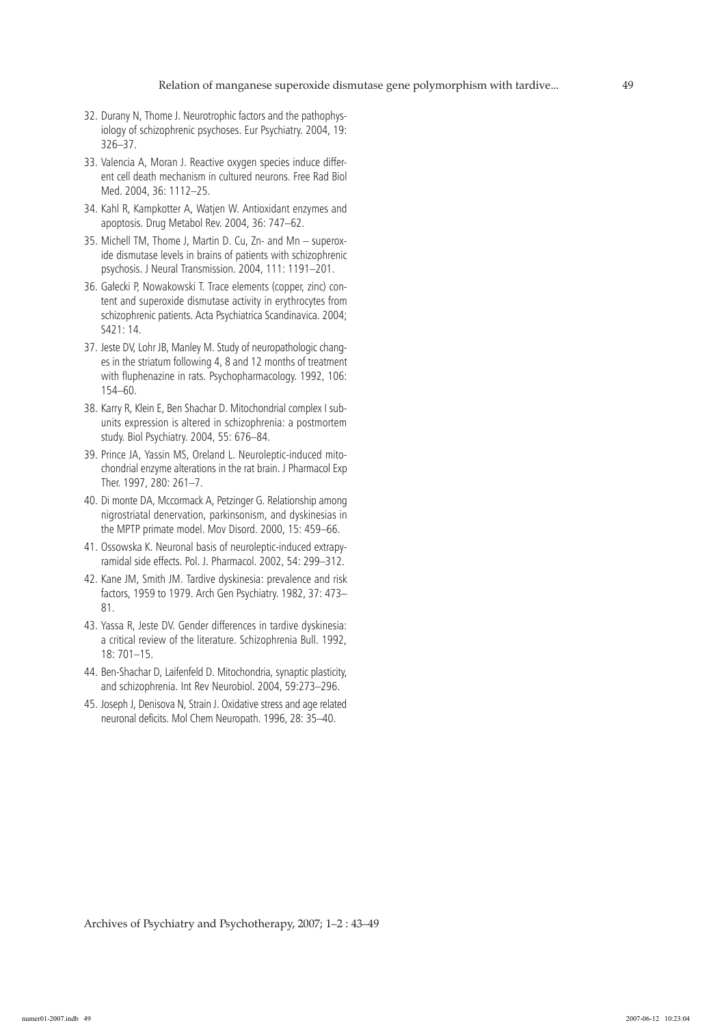- 32. Durany N, Thome J. Neurotrophic factors and the pathophysiology of schizophrenic psychoses. Eur Psychiatry. 2004, 19: 326–37.
- 33. Valencia A, Moran J. Reactive oxygen species induce different cell death mechanism in cultured neurons. Free Rad Biol Med. 2004, 36: 1112–25.
- 34. Kahl R, Kampkotter A, Watjen W. Antioxidant enzymes and apoptosis. Drug Metabol Rev. 2004, 36: 747–62.
- 35. Michell TM, Thome J, Martin D. Cu, Zn- and Mn superoxide dismutase levels in brains of patients with schizophrenic psychosis. J Neural Transmission. 2004, 111: 1191–201.
- 36. Gałecki P, Nowakowski T. Trace elements (copper, zinc) content and superoxide dismutase activity in erythrocytes from schizophrenic patients. Acta Psychiatrica Scandinavica. 2004; S421: 14.
- 37. Jeste DV, Lohr JB, Manley M. Study of neuropathologic changes in the striatum following 4, 8 and 12 months of treatment with fluphenazine in rats. Psychopharmacology. 1992, 106: 154–60.
- 38. Karry R, Klein E, Ben Shachar D. Mitochondrial complex I subunits expression is altered in schizophrenia: a postmortem study. Biol Psychiatry. 2004, 55: 676–84.
- 39. Prince JA, Yassin MS, Oreland L. Neuroleptic-induced mitochondrial enzyme alterations in the rat brain. J Pharmacol Exp Ther. 1997, 280: 261–7.
- 40. Di monte DA, Mccormack A, Petzinger G. Relationship among nigrostriatal denervation, parkinsonism, and dyskinesias in the MPTP primate model. Mov Disord. 2000, 15: 459–66.
- 41. Ossowska K. Neuronal basis of neuroleptic-induced extrapyramidal side effects. Pol. J. Pharmacol. 2002, 54: 299–312.
- 42. Kane JM, Smith JM. Tardive dyskinesia: prevalence and risk factors, 1959 to 1979. Arch Gen Psychiatry. 1982, 37: 473– 81.
- 43. Yassa R, Jeste DV. Gender differences in tardive dyskinesia: a critical review of the literature. Schizophrenia Bull. 1992, 18: 701–15.
- 44. Ben-Shachar D, Laifenfeld D. Mitochondria, synaptic plasticity, and schizophrenia. Int Rev Neurobiol. 2004, 59:273–296.
- 45. Joseph J, Denisova N, Strain J. Oxidative stress and age related neuronal deficits. Mol Chem Neuropath. 1996, 28: 35–40.